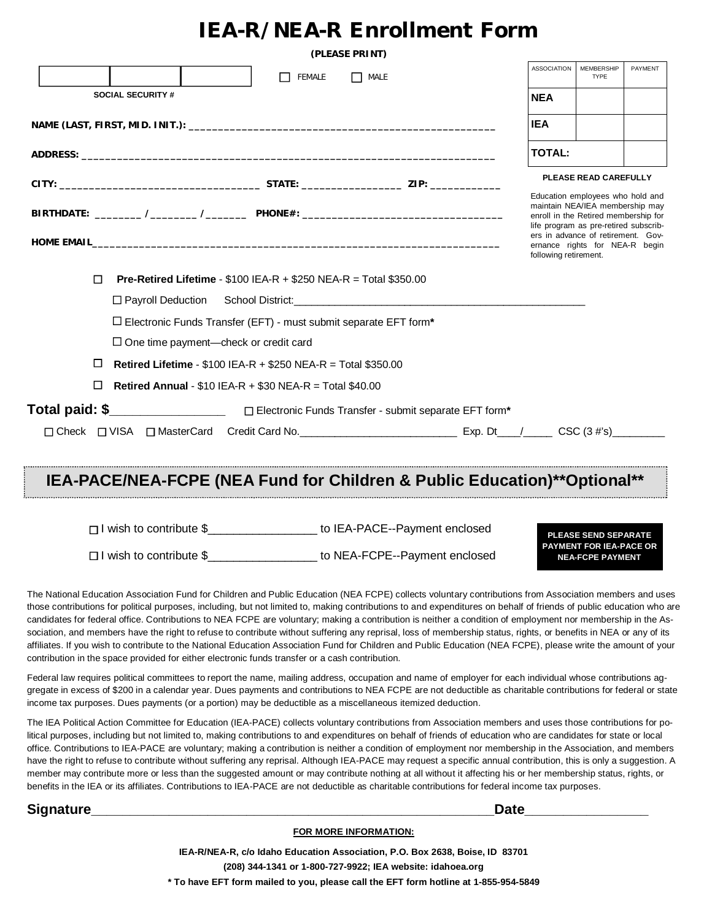## **IEA-R/NEA-R Enrollment Form**

|                                                                                                                                                                                                                 |                          |                                                                                                             | (PLEASE PRINT) |      |               |                                                                                                                                                                                                                                                       |                           |         |
|-----------------------------------------------------------------------------------------------------------------------------------------------------------------------------------------------------------------|--------------------------|-------------------------------------------------------------------------------------------------------------|----------------|------|---------------|-------------------------------------------------------------------------------------------------------------------------------------------------------------------------------------------------------------------------------------------------------|---------------------------|---------|
|                                                                                                                                                                                                                 |                          |                                                                                                             | FEMALE         | MALE |               | <b>ASSOCIATION</b>                                                                                                                                                                                                                                    | MEMBERSHIP<br><b>TYPE</b> | PAYMENT |
|                                                                                                                                                                                                                 | <b>SOCIAL SECURITY #</b> |                                                                                                             |                |      |               | <b>NEA</b>                                                                                                                                                                                                                                            |                           |         |
|                                                                                                                                                                                                                 |                          |                                                                                                             |                |      | <b>IEA</b>    |                                                                                                                                                                                                                                                       |                           |         |
|                                                                                                                                                                                                                 |                          |                                                                                                             |                |      | <b>TOTAL:</b> |                                                                                                                                                                                                                                                       |                           |         |
|                                                                                                                                                                                                                 |                          |                                                                                                             |                |      |               | <b>PLEASE READ CAREFULLY</b>                                                                                                                                                                                                                          |                           |         |
| HOME EMAIL <b>And the Community of Community Community</b> Community Community Community Community Community Community<br>$\Box$<br><b>Pre-Retired Lifetime</b> - $$100$ IEA-R + $$250$ NEA-R = Total $$350.00$ |                          |                                                                                                             |                |      |               | Education employees who hold and<br>maintain NEA/IEA membership may<br>enroll in the Retired membership for<br>life program as pre-retired subscrib-<br>ers in advance of retirement. Gov-<br>ernance rights for NEA-R begin<br>following retirement. |                           |         |
|                                                                                                                                                                                                                 |                          |                                                                                                             |                |      |               |                                                                                                                                                                                                                                                       |                           |         |
|                                                                                                                                                                                                                 |                          | $\Box$ Electronic Funds Transfer (EFT) - must submit separate EFT form*                                     |                |      |               |                                                                                                                                                                                                                                                       |                           |         |
|                                                                                                                                                                                                                 |                          | $\Box$ One time payment—check or credit card                                                                |                |      |               |                                                                                                                                                                                                                                                       |                           |         |
| $\Box$                                                                                                                                                                                                          |                          | <b>Retired Lifetime - <math>\$100</math> IEA-R + <math>\$250</math> NEA-R = Total <math>\$350.00</math></b> |                |      |               |                                                                                                                                                                                                                                                       |                           |         |
| □                                                                                                                                                                                                               |                          | <b>Retired Annual - \$10 IEA-R + \$30 NEA-R = Total \$40.00</b>                                             |                |      |               |                                                                                                                                                                                                                                                       |                           |         |
|                                                                                                                                                                                                                 |                          |                                                                                                             |                |      |               |                                                                                                                                                                                                                                                       |                           |         |
|                                                                                                                                                                                                                 |                          |                                                                                                             |                |      |               |                                                                                                                                                                                                                                                       |                           |         |

## **IEA-PACE/NEA-FCPE (NEA Fund for Children & Public Education)\*\*Optional\*\***

Iwish to contribute \$\_\_\_\_\_\_\_\_\_\_\_\_\_\_\_\_\_ to IEA-PACE--Payment enclosed

Iwish to contribute \$\_\_\_\_\_\_\_\_\_\_\_\_\_\_\_\_\_ to NEA-FCPE--Payment enclosed

**PLEASE SEND SEPARATE PAYMENT FOR IEA-PACE OR NEA-FCPE PAYMENT**

The National Education Association Fund for Children and Public Education (NEA FCPE) collects voluntary contributions from Association members and uses those contributions for political purposes, including, but not limited to, making contributions to and expenditures on behalf of friends of public education who are candidates for federal office. Contributions to NEA FCPE are voluntary; making a contribution is neither a condition of employment nor membership in the Association, and members have the right to refuse to contribute without suffering any reprisal, loss of membership status, rights, or benefits in NEA or any of its affiliates. If you wish to contribute to the National Education Association Fund for Children and Public Education (NEA FCPE), please write the amount of your contribution in the space provided for either electronic funds transfer or a cash contribution.

Federal law requires political committees to report the name, mailing address, occupation and name of employer for each individual whose contributions aggregate in excess of \$200 in a calendar year. Dues payments and contributions to NEA FCPE are not deductible as charitable contributions for federal or state income tax purposes. Dues payments (or a portion) may be deductible as a miscellaneous itemized deduction.

The IEA Political Action Committee for Education (IEA-PACE) collects voluntary contributions from Association members and uses those contributions for political purposes, including but not limited to, making contributions to and expenditures on behalf of friends of education who are candidates for state or local office. Contributions to IEA-PACE are voluntary; making a contribution is neither a condition of employment nor membership in the Association, and members have the right to refuse to contribute without suffering any reprisal. Although IEA-PACE may request a specific annual contribution, this is only a suggestion. A member may contribute more or less than the suggested amount or may contribute nothing at all without it affecting his or her membership status, rights, or benefits in the IEA or its affiliates. Contributions to IEA-PACE are not deductible as charitable contributions for federal income tax purposes.

## **Signature\_\_\_\_\_\_\_\_\_\_\_\_\_\_\_\_\_\_\_\_\_\_\_\_\_\_\_\_\_\_\_\_\_\_\_\_\_\_\_\_\_\_\_\_\_\_\_\_\_\_\_\_Date\_\_\_\_\_\_\_\_\_\_\_\_\_\_\_\_**

## **FOR MORE INFORMATION:**

**IEA-R/NEA-R, c/o Idaho Education Association, P.O. Box 2638, Boise, ID 83701 (208) 344-1341 or 1-800-727-9922; IEA website: idahoea.org \* To have EFT form mailed to you, please call the EFT form hotline at 1-855-954-5849**